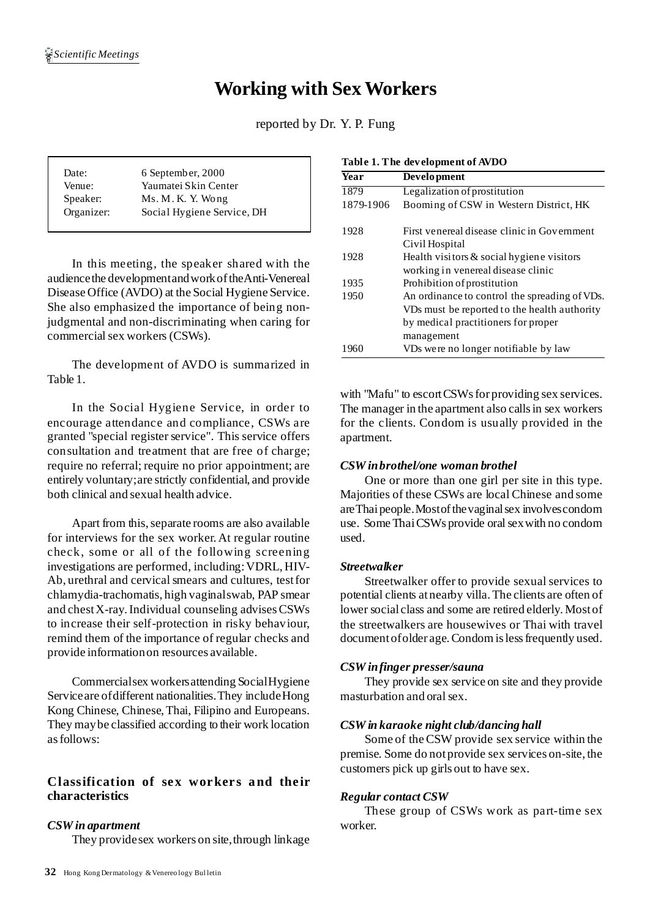# **Working with SexWorkers**

reported by Dr. Y. P. Fung

| Date:      | 6 September, 2000          |  |  |
|------------|----------------------------|--|--|
| Venue:     | Yaumatei Skin Center       |  |  |
| Speaker:   | Ms. M. K. Y. Wong          |  |  |
| Organizer: | Social Hygiene Service, DH |  |  |
|            |                            |  |  |

In this meeting, the speaker shared with the audiencethe developmentandworkoftheAnti-Venereal Disease Office (AVDO) at the Social Hygiene Service. She also emphasized the importance of being nonjudgmental and non-discriminating when caring for commercial sex workers (CSWs).

The development of AVDO is summarized in Table 1.

In the Social Hygiene Service, in order to encourage attendance and compliance, CSWs are granted "special register service". This service offers consultation and treatment that are free of charge; require no referral; require no prior appointment; are entirely voluntary;are strictly confidential, and provide both clinical and sexual health advice.

Apart from this, separate rooms are also available for interviews for the sex worker. At regular routine check, some or all of the following screening investigations are performed, including:VDRL, HIV-Ab, urethral and cervical smears and cultures, test for chlamydia-trachomatis, high vaginalswab, PAP smear and chestX-ray.Individual counseling advisesCSWs to increase their self-protection in risky behaviour, remind them of the importance of regular checks and provide informationon resources available.

Commercialsex workersattending SocialHygiene Serviceare ofdifferent nationalities.They includeHong Kong Chinese, Chinese,Thai, Filipino and Europeans. They maybe classified according to their work location asfollows:

## **Classification of sex worker s and the ir characteristics**

## *CSW in apartment*

They providesex workers on site, through linkage

| <b>Year</b> | Development                                   |  |  |
|-------------|-----------------------------------------------|--|--|
| 1879        | Legalization of prostitution                  |  |  |
| 1879-1906   | Booming of CSW in Western District, HK        |  |  |
| 1928        | First venereal disease clinic in Government   |  |  |
|             | Civil Hospital                                |  |  |
| 1928        | Health visitors $\&$ social hygiene visitors  |  |  |
|             | working in venereal disease clinic            |  |  |
| 1935        | Prohibition of prostitution                   |  |  |
| 1950        | An ordinance to control the spreading of VDs. |  |  |
|             | VDs must be reported to the health authority  |  |  |
|             | by medical practitioners for proper           |  |  |
|             | management                                    |  |  |
| 1960        | VDs were no longer notifiable by law          |  |  |

with "Mafu" to escort CSWs for providing sex services. The manager in the apartment also calls in sex workers for the clients. Condom is usually provided in the apartment.

## *CSW inbrothel/one woman brothel*

One or more than one girl per site in this type. Majorities of these CSWs are local Chinese and some are Thai people. Most of the vaginal sex involves condom use. Some Thai CSWs provide oral sex with no condom used.

## *Streetwalker*

Streetwalker offer to provide sexual services to potential clients atnearby villa.The clients are often of lower social class and some are retired elderly. Mostof the streetwalkers are housewives or Thai with travel document of older age. Condom is less frequently used.

## *CSW infinger presser/sauna*

They provide sex service on site and they provide masturbation and oral sex.

#### *CSW in karaoke night club/dancing hall*

Some of theCSW provide sex service within the premise. Some do notprovide sex services on-site, the customers pick up girls out to have sex.

## *Regular contact CSW*

These group of CSWs work as part-time sex worker.